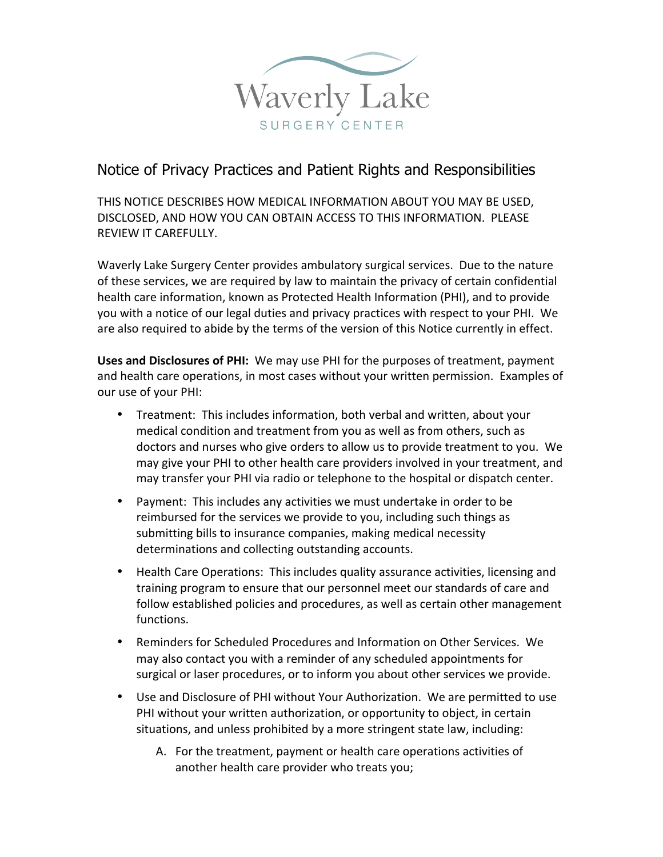

## Notice of Privacy Practices and Patient Rights and Responsibilities

THIS NOTICE DESCRIBES HOW MEDICAL INFORMATION ABOUT YOU MAY BE USED, DISCLOSED, AND HOW YOU CAN OBTAIN ACCESS TO THIS INFORMATION. PLFASF REVIEW IT CAREFULLY.

Waverly Lake Surgery Center provides ambulatory surgical services. Due to the nature of these services, we are required by law to maintain the privacy of certain confidential health care information, known as Protected Health Information (PHI), and to provide you with a notice of our legal duties and privacy practices with respect to your PHI. We are also required to abide by the terms of the version of this Notice currently in effect.

**Uses and Disclosures of PHI:** We may use PHI for the purposes of treatment, payment and health care operations, in most cases without your written permission. Examples of our use of your PHI:

- Treatment: This includes information, both verbal and written, about your medical condition and treatment from you as well as from others, such as doctors and nurses who give orders to allow us to provide treatment to you. We may give your PHI to other health care providers involved in your treatment, and may transfer your PHI via radio or telephone to the hospital or dispatch center.
- Payment: This includes any activities we must undertake in order to be reimbursed for the services we provide to you, including such things as submitting bills to insurance companies, making medical necessity determinations and collecting outstanding accounts.
- Health Care Operations: This includes quality assurance activities, licensing and training program to ensure that our personnel meet our standards of care and follow established policies and procedures, as well as certain other management functions.
- Reminders for Scheduled Procedures and Information on Other Services. We may also contact you with a reminder of any scheduled appointments for surgical or laser procedures, or to inform you about other services we provide.
- Use and Disclosure of PHI without Your Authorization. We are permitted to use PHI without your written authorization, or opportunity to object, in certain situations, and unless prohibited by a more stringent state law, including:
	- A. For the treatment, payment or health care operations activities of another health care provider who treats you;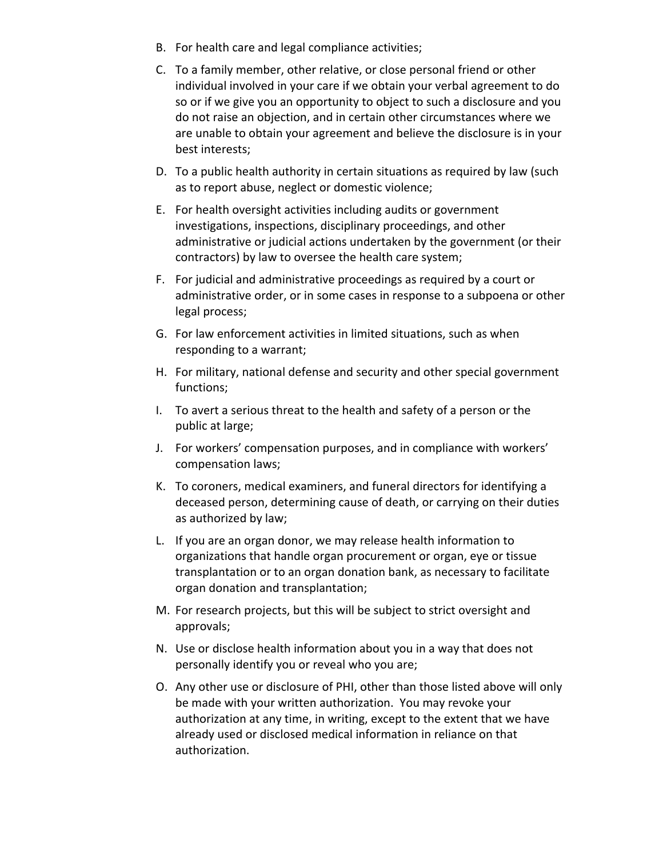- B. For health care and legal compliance activities;
- C. To a family member, other relative, or close personal friend or other individual involved in your care if we obtain your verbal agreement to do so or if we give you an opportunity to object to such a disclosure and you do not raise an objection, and in certain other circumstances where we are unable to obtain your agreement and believe the disclosure is in your best interests;
- D. To a public health authority in certain situations as required by law (such as to report abuse, neglect or domestic violence;
- E. For health oversight activities including audits or government investigations, inspections, disciplinary proceedings, and other administrative or judicial actions undertaken by the government (or their contractors) by law to oversee the health care system;
- F. For judicial and administrative proceedings as required by a court or administrative order, or in some cases in response to a subpoena or other legal process;
- G. For law enforcement activities in limited situations, such as when responding to a warrant;
- H. For military, national defense and security and other special government functions;
- I. To avert a serious threat to the health and safety of a person or the public at large;
- J. For workers' compensation purposes, and in compliance with workers' compensation laws;
- K. To coroners, medical examiners, and funeral directors for identifying a deceased person, determining cause of death, or carrying on their duties as authorized by law;
- L. If you are an organ donor, we may release health information to organizations that handle organ procurement or organ, eye or tissue transplantation or to an organ donation bank, as necessary to facilitate organ donation and transplantation;
- M. For research projects, but this will be subject to strict oversight and approvals;
- N. Use or disclose health information about you in a way that does not personally identify you or reveal who you are;
- O. Any other use or disclosure of PHI, other than those listed above will only be made with your written authorization. You may revoke your authorization at any time, in writing, except to the extent that we have already used or disclosed medical information in reliance on that authorization.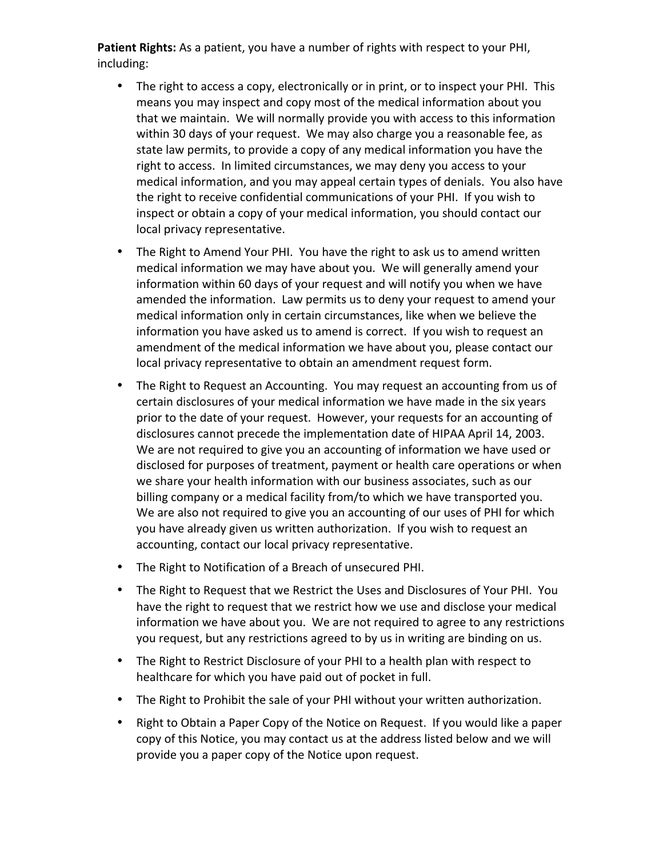Patient Rights: As a patient, you have a number of rights with respect to your PHI, including:

- The right to access a copy, electronically or in print, or to inspect your PHI. This means you may inspect and copy most of the medical information about you that we maintain. We will normally provide you with access to this information within 30 days of your request. We may also charge you a reasonable fee, as state law permits, to provide a copy of any medical information you have the right to access. In limited circumstances, we may deny you access to your medical information, and you may appeal certain types of denials. You also have the right to receive confidential communications of your PHI. If you wish to inspect or obtain a copy of your medical information, you should contact our local privacy representative.
- The Right to Amend Your PHI. You have the right to ask us to amend written medical information we may have about you. We will generally amend your information within 60 days of your request and will notify you when we have amended the information. Law permits us to deny your request to amend your medical information only in certain circumstances, like when we believe the information you have asked us to amend is correct. If you wish to request an amendment of the medical information we have about you, please contact our local privacy representative to obtain an amendment request form.
- The Right to Request an Accounting. You may request an accounting from us of certain disclosures of your medical information we have made in the six years prior to the date of your request. However, your requests for an accounting of disclosures cannot precede the implementation date of HIPAA April 14, 2003. We are not required to give you an accounting of information we have used or disclosed for purposes of treatment, payment or health care operations or when we share your health information with our business associates, such as our billing company or a medical facility from/to which we have transported you. We are also not required to give you an accounting of our uses of PHI for which you have already given us written authorization. If you wish to request an accounting, contact our local privacy representative.
- The Right to Notification of a Breach of unsecured PHI.
- The Right to Request that we Restrict the Uses and Disclosures of Your PHI. You have the right to request that we restrict how we use and disclose your medical information we have about you. We are not required to agree to any restrictions you request, but any restrictions agreed to by us in writing are binding on us.
- The Right to Restrict Disclosure of your PHI to a health plan with respect to healthcare for which you have paid out of pocket in full.
- The Right to Prohibit the sale of your PHI without your written authorization.
- Right to Obtain a Paper Copy of the Notice on Request. If you would like a paper copy of this Notice, you may contact us at the address listed below and we will provide you a paper copy of the Notice upon request.